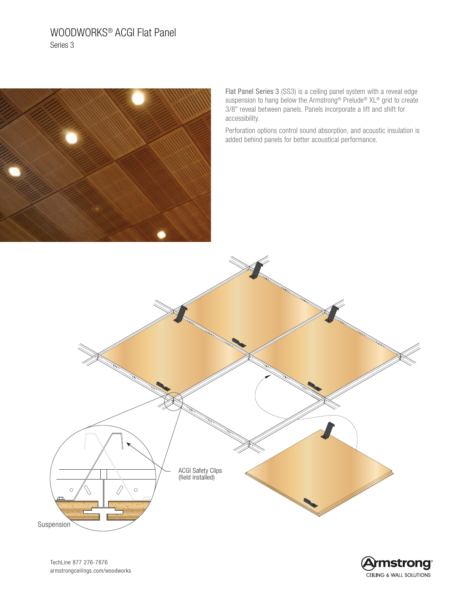# WOODWORKS® ACGI Flat Panel Series 3



Flat Panel Series 3 (SS3) is a ceiling panel system with a reveal edge suspension to hang below the Armstrong<sup>®</sup> Prelude<sup>®</sup> XL<sup>®</sup> grid to create 3/8" reveal between panels. Panels incorporate a lift and shift for accessibility.

Perforation options control sound absorption, and acoustic insulation is added behind panels for better acoustical performance.





TechLine 877 276-7876 [armstrongceilings.com/woodworks](https://www.armstrongceilings.com/commercial/en/commercial-ceilings-walls/wood-ceilings.html?etid=Off-NP-RDirect-Off-PRNT-20179---armstrongceilings.com/woodworks)